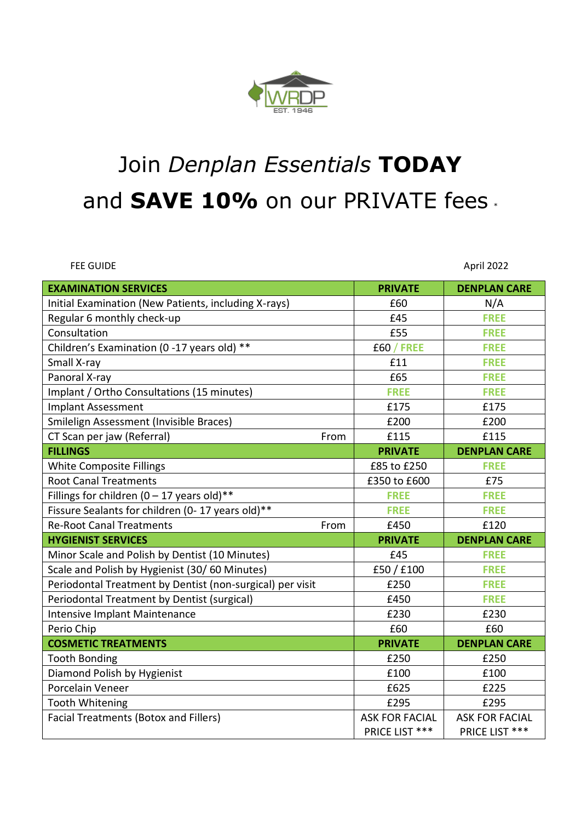

# Join *Denplan Essentials* **TODAY** and **SAVE 10%** on our PRIVATE fees.

FEE GUIDE April 2022

| <b>EXAMINATION SERVICES</b>                               | <b>PRIVATE</b>        | <b>DENPLAN CARE</b>   |
|-----------------------------------------------------------|-----------------------|-----------------------|
| Initial Examination (New Patients, including X-rays)      | £60                   | N/A                   |
| Regular 6 monthly check-up                                | £45                   | <b>FREE</b>           |
| Consultation                                              | £55                   | <b>FREE</b>           |
| Children's Examination (0 -17 years old) **               | <b>£60 / FREE</b>     | <b>FREE</b>           |
| Small X-ray                                               | £11                   | <b>FREE</b>           |
| Panoral X-ray                                             | £65                   | <b>FREE</b>           |
| Implant / Ortho Consultations (15 minutes)                | <b>FREE</b>           | <b>FREE</b>           |
| <b>Implant Assessment</b>                                 | £175                  | £175                  |
| Smilelign Assessment (Invisible Braces)                   | £200                  | £200                  |
| CT Scan per jaw (Referral)<br>From                        | £115                  | £115                  |
| <b>FILLINGS</b>                                           | <b>PRIVATE</b>        | <b>DENPLAN CARE</b>   |
| <b>White Composite Fillings</b>                           | £85 to £250           | <b>FREE</b>           |
| <b>Root Canal Treatments</b>                              | £350 to £600          | £75                   |
| Fillings for children (0 - 17 years old)**                | <b>FREE</b>           | <b>FREE</b>           |
| Fissure Sealants for children (0-17 years old)**          | <b>FREE</b>           | <b>FREE</b>           |
| <b>Re-Root Canal Treatments</b><br>From                   | £450                  | £120                  |
| <b>HYGIENIST SERVICES</b>                                 | <b>PRIVATE</b>        | <b>DENPLAN CARE</b>   |
| Minor Scale and Polish by Dentist (10 Minutes)            | £45                   | <b>FREE</b>           |
| Scale and Polish by Hygienist (30/60 Minutes)             | £50/£100              | <b>FREE</b>           |
| Periodontal Treatment by Dentist (non-surgical) per visit | £250                  | <b>FREE</b>           |
| Periodontal Treatment by Dentist (surgical)               | £450                  | <b>FREE</b>           |
| Intensive Implant Maintenance                             | £230                  | £230                  |
| Perio Chip                                                | £60                   | £60                   |
| <b>COSMETIC TREATMENTS</b>                                | <b>PRIVATE</b>        | <b>DENPLAN CARE</b>   |
| <b>Tooth Bonding</b>                                      | £250                  | £250                  |
| Diamond Polish by Hygienist                               | £100                  | £100                  |
| Porcelain Veneer                                          | £625                  | £225                  |
| <b>Tooth Whitening</b>                                    | £295                  | £295                  |
| <b>Facial Treatments (Botox and Fillers)</b>              | <b>ASK FOR FACIAL</b> | <b>ASK FOR FACIAL</b> |
|                                                           | PRICE LIST ***        | PRICE LIST ***        |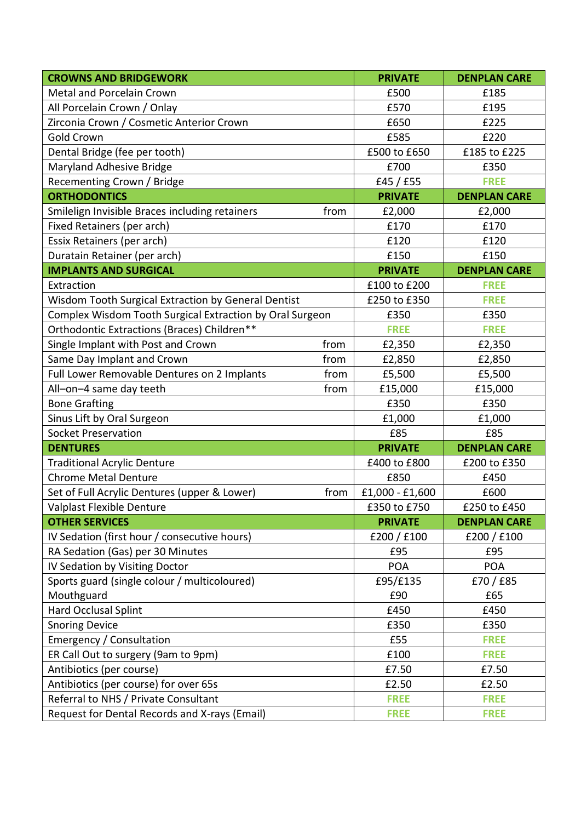| <b>CROWNS AND BRIDGEWORK</b>                             |      | <b>PRIVATE</b>  | <b>DENPLAN CARE</b> |
|----------------------------------------------------------|------|-----------------|---------------------|
| Metal and Porcelain Crown                                |      | £500            | £185                |
| All Porcelain Crown / Onlay                              |      | £570            | £195                |
| Zirconia Crown / Cosmetic Anterior Crown                 |      | £650            | £225                |
| <b>Gold Crown</b>                                        |      | £585            | £220                |
| Dental Bridge (fee per tooth)                            |      | £500 to £650    | £185 to £225        |
| Maryland Adhesive Bridge                                 |      | £700            | £350                |
| Recementing Crown / Bridge                               |      | £45 / $£55$     | <b>FREE</b>         |
| <b>ORTHODONTICS</b>                                      |      | <b>PRIVATE</b>  | <b>DENPLAN CARE</b> |
| Smilelign Invisible Braces including retainers           | from | £2,000          | £2,000              |
| Fixed Retainers (per arch)                               |      | £170            | £170                |
| Essix Retainers (per arch)                               |      | £120            | £120                |
| Duratain Retainer (per arch)                             |      | £150            | £150                |
| <b>IMPLANTS AND SURGICAL</b>                             |      | <b>PRIVATE</b>  | <b>DENPLAN CARE</b> |
| Extraction                                               |      | £100 to £200    | <b>FREE</b>         |
| Wisdom Tooth Surgical Extraction by General Dentist      |      | £250 to £350    | <b>FREE</b>         |
| Complex Wisdom Tooth Surgical Extraction by Oral Surgeon |      | £350            | £350                |
| Orthodontic Extractions (Braces) Children**              |      | <b>FREE</b>     | <b>FREE</b>         |
| Single Implant with Post and Crown                       | from | £2,350          | £2,350              |
| Same Day Implant and Crown                               | from | £2,850          | £2,850              |
| Full Lower Removable Dentures on 2 Implants              | from | £5,500          | £5,500              |
| All-on-4 same day teeth                                  | from | £15,000         | £15,000             |
| <b>Bone Grafting</b>                                     |      | £350            | £350                |
| Sinus Lift by Oral Surgeon                               |      | £1,000          | £1,000              |
| <b>Socket Preservation</b>                               |      | £85             | £85                 |
| <b>DENTURES</b>                                          |      | <b>PRIVATE</b>  | <b>DENPLAN CARE</b> |
| <b>Traditional Acrylic Denture</b>                       |      | £400 to £800    | £200 to £350        |
| <b>Chrome Metal Denture</b>                              |      | £850            | £450                |
| Set of Full Acrylic Dentures (upper & Lower)             | from | £1,000 - £1,600 | £600                |
| Valplast Flexible Denture                                |      | £350 to £750    | £250 to £450        |
| <b>OTHER SERVICES</b>                                    |      | <b>PRIVATE</b>  | <b>DENPLAN CARE</b> |
| IV Sedation (first hour / consecutive hours)             |      | £200 / £100     | £200 / £100         |
| RA Sedation (Gas) per 30 Minutes                         |      | £95             | £95                 |
| IV Sedation by Visiting Doctor                           |      | <b>POA</b>      | <b>POA</b>          |
| Sports guard (single colour / multicoloured)             |      | £95/£135        | £70/£85             |
| Mouthguard                                               |      | £90             | £65                 |
| Hard Occlusal Splint                                     |      | £450            | £450                |
| <b>Snoring Device</b>                                    |      | £350            | £350                |
| Emergency / Consultation                                 |      | £55             | <b>FREE</b>         |
| ER Call Out to surgery (9am to 9pm)                      |      | £100            | <b>FREE</b>         |
| Antibiotics (per course)                                 |      | £7.50           | £7.50               |
| Antibiotics (per course) for over 65s                    |      | £2.50           | £2.50               |
| Referral to NHS / Private Consultant                     |      | <b>FREE</b>     | <b>FREE</b>         |
| Request for Dental Records and X-rays (Email)            |      | <b>FREE</b>     | <b>FREE</b>         |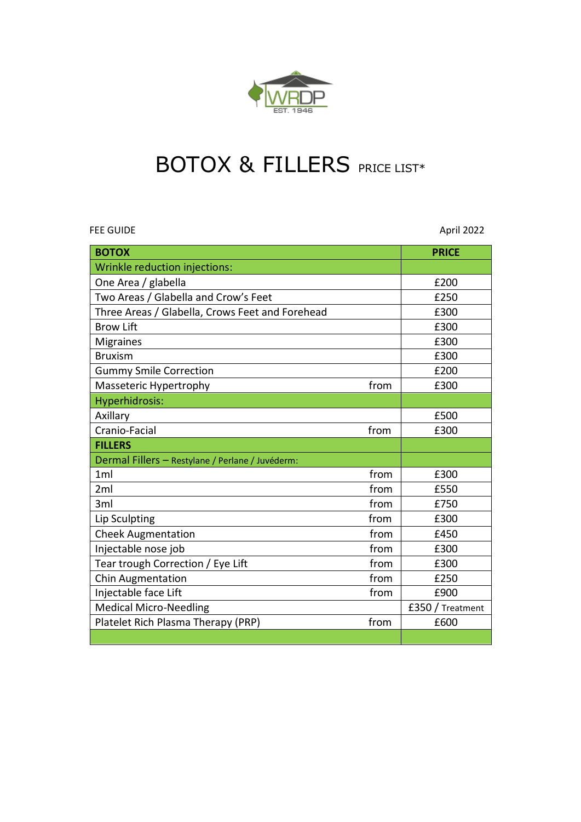

## BOTOX & FILLERS PRICE LIST\*

FEE GUIDE April 2022

| <b>BOTOX</b>                                     |      | <b>PRICE</b>     |
|--------------------------------------------------|------|------------------|
| Wrinkle reduction injections:                    |      |                  |
| One Area / glabella                              |      | £200             |
| Two Areas / Glabella and Crow's Feet             |      | £250             |
| Three Areas / Glabella, Crows Feet and Forehead  |      | £300             |
| <b>Brow Lift</b>                                 |      | £300             |
| <b>Migraines</b>                                 |      | £300             |
| <b>Bruxism</b>                                   |      | £300             |
| <b>Gummy Smile Correction</b>                    |      | £200             |
| Masseteric Hypertrophy                           | from | £300             |
| Hyperhidrosis:                                   |      |                  |
| Axillary                                         |      | £500             |
| Cranio-Facial                                    | from | £300             |
| <b>FILLERS</b>                                   |      |                  |
| Dermal Fillers - Restylane / Perlane / Juvéderm: |      |                  |
| 1 <sub>m</sub>                                   | from | £300             |
| 2ml                                              | from | £550             |
| 3ml                                              | from | £750             |
| Lip Sculpting                                    | from | £300             |
| <b>Cheek Augmentation</b>                        | from | £450             |
| Injectable nose job                              | from | £300             |
| Tear trough Correction / Eye Lift                | from | £300             |
| <b>Chin Augmentation</b>                         | from | £250             |
| Injectable face Lift                             | from | £900             |
| <b>Medical Micro-Needling</b>                    |      | £350 / Treatment |
| Platelet Rich Plasma Therapy (PRP)               | from | £600             |
|                                                  |      |                  |